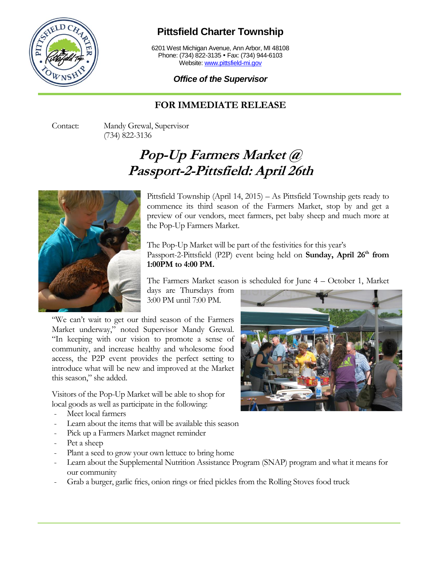

## **Pittsfield Charter Township**

6201 West Michigan Avenue, Ann Arbor, MI 48108 Phone: (734) 822-3135 • Fax: (734) 944-6103 Website[: www.pittsfield-mi.gov](http://www.pittsfield-mi.gov/)

## *Office of the Supervisor*

## **FOR IMMEDIATE RELEASE**

Contact: Mandy Grewal, Supervisor (734) 822-3136

## **Pop-Up Farmers Market @ Passport-2-Pittsfield: April 26th**



Pittsfield Township (April 14, 2015) – As Pittsfield Township gets ready to commence its third season of the Farmers Market, stop by and get a preview of our vendors, meet farmers, pet baby sheep and much more at the Pop-Up Farmers Market.

The Pop-Up Market will be part of the festivities for this year's Passport-2-Pittsfield (P2P) event being held on **Sunday, April 26th from 1:00PM to 4:00 PM.**

The Farmers Market season is scheduled for June 4 – October 1, Market

days are Thursdays from 3:00 PM until 7:00 PM.

"We can't wait to get our third season of the Farmers Market underway," noted Supervisor Mandy Grewal. "In keeping with our vision to promote a sense of community, and increase healthy and wholesome food access, the P2P event provides the perfect setting to introduce what will be new and improved at the Market this season," she added.

Visitors of the Pop-Up Market will be able to shop for local goods as well as participate in the following:

- Meet local farmers
- Learn about the items that will be available this season
- Pick up a Farmers Market magnet reminder
- Pet a sheep
- Plant a seed to grow your own lettuce to bring home
- Learn about the Supplemental Nutrition Assistance Program (SNAP) program and what it means for our community
- Grab a burger, garlic fries, onion rings or fried pickles from the Rolling Stoves food truck